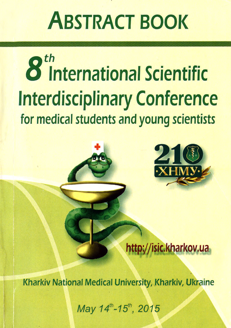# **ABSTRACT BOOK**

# 8<sup>th</sup> International Scientific **Interdisciplinary Conference** for medical students and young scientists



## http://isic.kharkov.ua

Kharkiv National Medical University, Kharkiv, Ukraine

May 14th-15th, 2015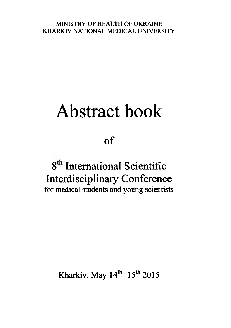#### MINISTRY OF HEALTH OF UKRAINE KHARKIV NATIONAL MEDICAL UNIVERSITY

# Abstract book

 $of$ 

### **8 International Scientific Interdisciplinary Conference for medical students and young scientists**

**Kharkiv, May 14<sup>th</sup>- 15<sup>th</sup> 2015**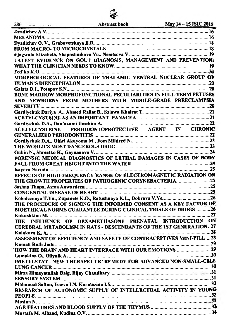Ĩ. **Abstract book** 

 $286<sup>2</sup>$ 

| LATEST EVIDENCE ON GOUT DIAGNOSIS, MANAGEMENT AND PREVENTION:       |  |
|---------------------------------------------------------------------|--|
|                                                                     |  |
|                                                                     |  |
| MORPHOLOGICAL FEATURES OF THALAMIC VENTRAL NUCLEAR GROUP OF         |  |
|                                                                     |  |
|                                                                     |  |
| BONE MARROW MORPHOFUNCTIONAL PECULIARITIES IN FULL-TERM FETUSES     |  |
| AND NEWBORNS FROM MOTHERS WITH MIDDLE-GRADE PREECLAMPSIA            |  |
|                                                                     |  |
|                                                                     |  |
|                                                                     |  |
|                                                                     |  |
| ACETYLCYSTEINE PERIODONTOPROTECTIVE AGENT IN CHRONIC                |  |
|                                                                     |  |
|                                                                     |  |
|                                                                     |  |
|                                                                     |  |
| FORENSIC MEDICAL DIAGNOSTICS OF LETHAL DAMAGES IN CASES OF BODY     |  |
|                                                                     |  |
|                                                                     |  |
| EFFECTS OF HIGH-FREQUENCY RANGE OF ELECTROMAGNETIC RADIATION ON     |  |
| THE GROWTH PROPERTIES OF PATHOGENIC CORYNEBACTERIA  25              |  |
|                                                                     |  |
|                                                                     |  |
|                                                                     |  |
| THE PROCEDURE OF SIGNING THE INFORMED CONSENT AS A KEY FACTOR OF    |  |
| <b>BIOETHICAL NORMS GUARANTEE DURING CLINICAL TRIALS OF DRUGS26</b> |  |
|                                                                     |  |
| THE INFLUENCE OF DEXAMETHASONE PRENATAL INTRODUCTION ON             |  |
| CEREBRAL METABOLISM IN RATS - DESCENDANTS OF THE 1ST GENERATION27   |  |
|                                                                     |  |
| ASSESSMENT OF EFFICIENCY AND SAFETY OF CONTRACEPTIVES MINI-PILL28   |  |
|                                                                     |  |
|                                                                     |  |
|                                                                     |  |
| IMETELSTAT - NEW THERAPEUTIC REMEDY FOR ADVANCED NON-SMALL-CELL     |  |
|                                                                     |  |
|                                                                     |  |
|                                                                     |  |
|                                                                     |  |
| RESEARCH OF AUTONOMIC SUPPLY OF INTELLECTUAL ACTIVITY IN YOUNG      |  |
|                                                                     |  |
|                                                                     |  |
|                                                                     |  |
|                                                                     |  |
|                                                                     |  |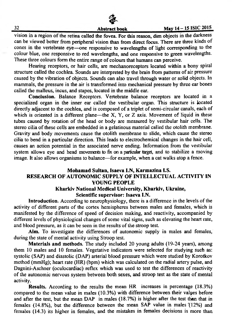#### May 14 - 15 ISIC 2015

vision in a region of the retina called the fovea. For this reason, dim objects in the darkness can be viewed better from peripheral vision than from direct focus. There are three kinds of cones in the vertebrate eye—one responsive to wavelengths of light corresponding to the colour blue, one responsive to red wavelengths, and one responsive to green wavelengths. These three colours form the entire range of colours that humans can perceive.

Hearing receptors, or hair cells, are mechanoreceptors located within a bony spiral structure called the cochlea. Sounds are interpreted by the brain from patterns of air pressure caused by the vibration of objects. Sounds can also travel through water or solid objects. In mammals, the pressure in the air is transformed into mechanical pressure by three ear bones called the malleus, incus, and stapes, located in the middle ear.

**Conclusion.** Balance Receptors. Vertebrate balance receptors are located in a specialized organ in the inner ear called the vestibular organ. This structure is located directly adjacent to the cochlea, and is composed of a triplet of semi-circular canals, each of which is oriented in a different plane—the X, Y, or  $Z$  axis. Movement of liquid in these tubes caused by rotation of the head or body are measured by vestibular hair cells. The stereo cilia of these cells are embedded in a gelatinous material called the otolith membrane. Gravity and body movements cause the otolith membrane to slide, which cause the stereo cilia to bend in a particular direction. This leads to electrochemical changes in the hair cell, causes an action potential in the associated nerve ending. Information from the vestibular system allows eye and head movements to fix on a particular target, and to stabilize a moving image. It also allows organisms to balance—for example, when a cat walks atop a fence.

#### **Mohamad Sultan, Isaeva I.N, Karmazina I.S. RESEARCH OF AUTONOMIC SUPPLY OF INTELLECTUAL ACTIVITY IN YOUNG PEOPLE Kharkiv National Medical University, Kharkiv, Ukraine,**

### **Scientific supervisor: Isaeva I.N.**

**Introduction.** According to neurophysiology, there is a difference in the levels of the activity of different parts of the cortex hemispheres between males and females, which is manifested by the difference of speed of decision making, and reactivity, accompanied by different levels of physiological changes of some vital signs, such as elevating the heart rate, and blood pressure, as it can be seen in the results of the stroop test.

**Aim.** To investigate the differences of autonomic supply in males and females, during the state of mental activity using Stroop test.

**Materials and methods.** The study included 20 young adults (19-24 years), among them 10 males and 10 females. Vegetative indicators were selected for studying such as: systolic (SAP) and diastolic (DAP) arterial blood pressure which were studied by Korotkov method (mmHg); heart rate (HR) (bpm) which was calculated on the radial artery pulse, and Dagnini-Aschner (oculocardiac) reflex which was used to test the differences of reactivity of the autonomic nervous system between both sexes, and stroop test as the state of mental activity.

**Results.** According to the results the mean HR increases in percentage (18.3%) compared to the mean value in males (10.3%) with difference between their values before and after the test, but the mean DAP in males (18.7%) is higher after the test than that in females (14.8%), but the difference between the mean SAP value in males'(12%) and females (14.3) its higher in females, and the mistakes in females decisions is more than

32